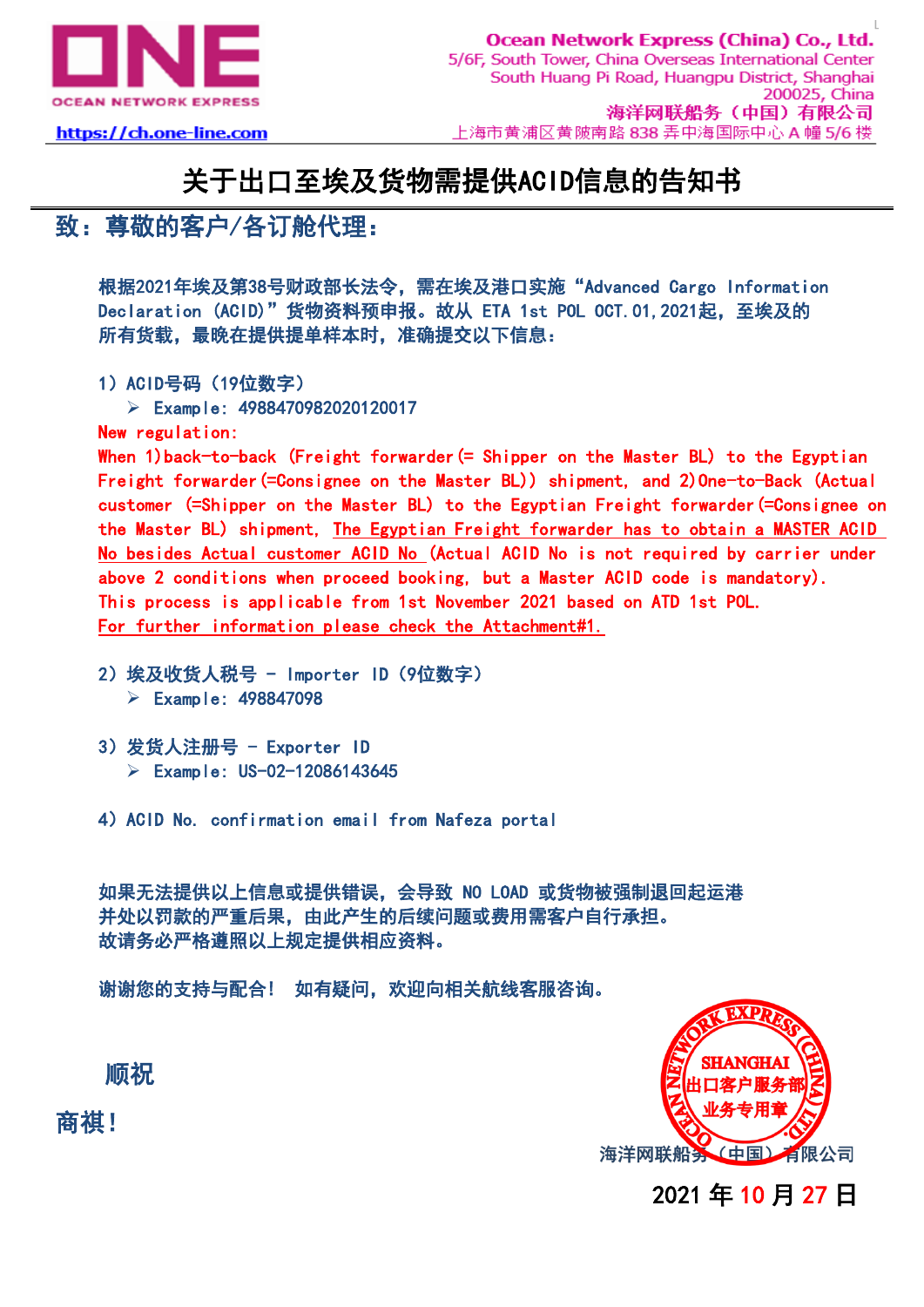

https://ch.one-line.com

## 关于出口至埃及货物需提供ACID信息的告知书

## 致:尊敬的客户/各订舱代理:

根据2021年埃及第38号财政部长法令,需在埃及港口实施"Advanced Cargo Information Declaration (ACID)"货物资料预申报。故从 ETA 1st POL OCT. 01, 2021起, 至埃及的 所有货载,最晚在提供提单样本时,准确提交以下信息:

1) ACID号码 (19位数字)

➢ Example: 4988470982020120017

New regulation:

When 1)back-to-back (Freight forwarder(= Shipper on the Master BL) to the Egyptian Freight forwarder(=Consignee on the Master BL)) shipment, and 2)One-to-Back (Actual customer (=Shipper on the Master BL) to the Egyptian Freight forwarder(=Consignee on the Master BL) shipment, The Egyptian Freight forwarder has to obtain a MASTER ACID No besides Actual customer ACID No (Actual ACID No is not required by carrier under above 2 conditions when proceed booking, but a Master ACID code is mandatory). This process is applicable from 1st November 2021 based on ATD 1st POL. For further information please check the Attachment#1.

- 2)埃及收货人税号 Importer ID(9位数字) ➢ Example: 498847098
- 3)发货人注册号 Exporter ID ➢ Example: US-02-12086143645
- 4)ACID No. confirmation email from Nafeza portal

如果无法提供以上信息或提供错误,会导致 NO LOAD 或货物被强制退回起运港 并处以罚款的严重后果,由此产生的后续问题或费用需客户自行承担。 故请务必严格遵照以上规定提供相应资料。

谢谢您的支持与配合! 如有疑问,欢迎向相关航线客服咨询。



2021 年 10 月 27 日

顺祝

商祺!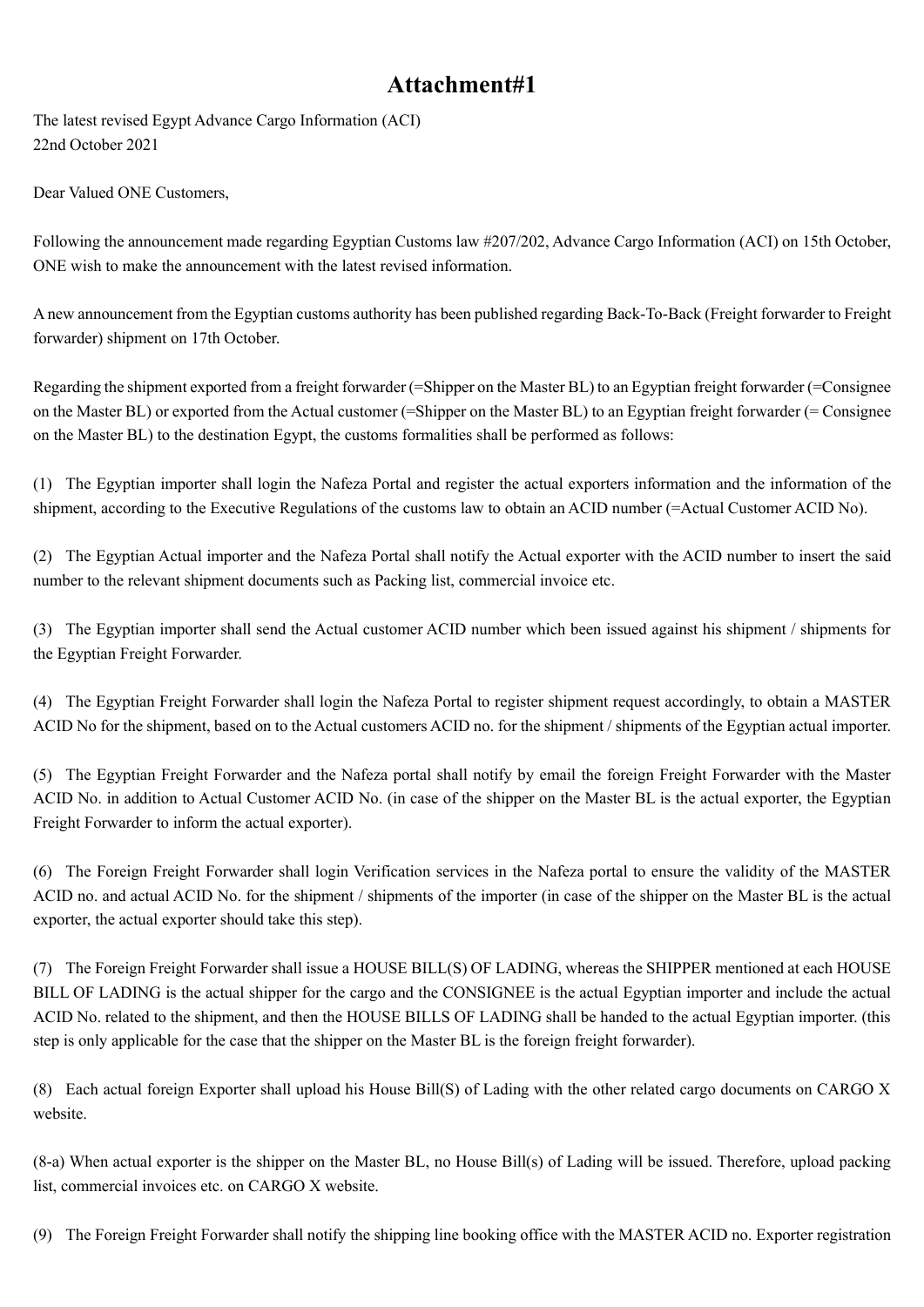## **Attachment#1**

The latest revised Egypt Advance Cargo Information (ACI) 22nd October 2021

Dear Valued ONE Customers,

Following the announcement made regarding Egyptian Customs law #207/202, Advance Cargo Information (ACI) on 15th October, ONE wish to make the announcement with the latest revised information.

A new announcement from the Egyptian customs authority has been published regarding Back-To-Back (Freight forwarder to Freight forwarder) shipment on 17th October.

Regarding the shipment exported from a freight forwarder (=Shipper on the Master BL) to an Egyptian freight forwarder (=Consignee on the Master BL) or exported from the Actual customer (=Shipper on the Master BL) to an Egyptian freight forwarder (= Consignee on the Master BL) to the destination Egypt, the customs formalities shall be performed as follows:

(1) The Egyptian importer shall login the Nafeza Portal and register the actual exporters information and the information of the shipment, according to the Executive Regulations of the customs law to obtain an ACID number (=Actual Customer ACID No).

(2) The Egyptian Actual importer and the Nafeza Portal shall notify the Actual exporter with the ACID number to insert the said number to the relevant shipment documents such as Packing list, commercial invoice etc.

(3) The Egyptian importer shall send the Actual customer ACID number which been issued against his shipment / shipments for the Egyptian Freight Forwarder.

(4) The Egyptian Freight Forwarder shall login the Nafeza Portal to register shipment request accordingly, to obtain a MASTER ACID No for the shipment, based on to the Actual customers ACID no. for the shipment / shipments of the Egyptian actual importer.

(5) The Egyptian Freight Forwarder and the Nafeza portal shall notify by email the foreign Freight Forwarder with the Master ACID No. in addition to Actual Customer ACID No. (in case of the shipper on the Master BL is the actual exporter, the Egyptian Freight Forwarder to inform the actual exporter).

(6) The Foreign Freight Forwarder shall login Verification services in the Nafeza portal to ensure the validity of the MASTER ACID no. and actual ACID No. for the shipment / shipments of the importer (in case of the shipper on the Master BL is the actual exporter, the actual exporter should take this step).

(7) The Foreign Freight Forwarder shall issue a HOUSE BILL(S) OF LADING, whereas the SHIPPER mentioned at each HOUSE BILL OF LADING is the actual shipper for the cargo and the CONSIGNEE is the actual Egyptian importer and include the actual ACID No. related to the shipment, and then the HOUSE BILLS OF LADING shall be handed to the actual Egyptian importer. (this step is only applicable for the case that the shipper on the Master BL is the foreign freight forwarder).

(8) Each actual foreign Exporter shall upload his House Bill(S) of Lading with the other related cargo documents on CARGO X website.

(8-a) When actual exporter is the shipper on the Master BL, no House Bill(s) of Lading will be issued. Therefore, upload packing list, commercial invoices etc. on CARGO X website.

(9) The Foreign Freight Forwarder shall notify the shipping line booking office with the MASTER ACID no. Exporter registration